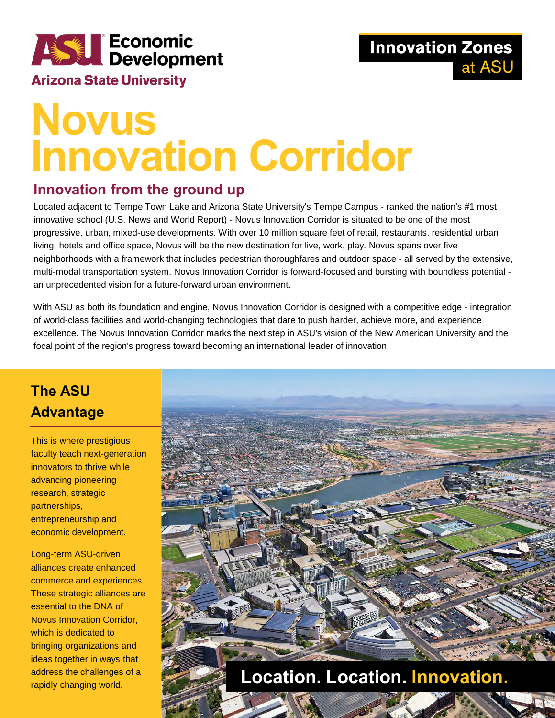

#### **Arizona State University**

# **Novus Innovation Corridor**

#### **Innovation from the ground up**

Located adjacent to Tempe Town Lake and Arizona State University's Tempe Campus - ranked the nation's #1 most innovative school (U.S. News and World Report) - Novus Innovation Corridor is situated to be one of the most progressive, urban, mixed-use developments. With over 10 million square feet of retail, restaurants, residential urban living, hotels and office space, Novus will be the new destination for live, work, play. Novus spans over five neighborhoods with a framework that includes pedestrian thoroughfares and outdoor space - all served by the extensive, multi-modal transportation system. Novus Innovation Corridor is forward-focused and bursting with boundless potential an unprecedented vision for a future-forward urban environment.

With ASU as both its foundation and engine, Novus Innovation Corridor is designed with a competitive edge - integration of world-class facilities and world-changing technologies that dare to push harder, achieve more, and experience excellence. The Novus Innovation Corridor marks the next step in ASU's vision of the New American University and the focal point of the region's progress toward becoming an international leader of innovation.

## **The ASU Advantage**

This is where prestigious faculty teach next-generation innovators to thrive while advancing pioneering research, strategic partnerships, entrepreneurship and economic development.

Long-term ASU-driven alliances create enhanced commerce and experiences. These strategic alliances are essential to the DNA of Novus Innovation Corridor, which is dedicated to bringing organizations and ideas together in ways that address the challenges of a rapidly changing world.

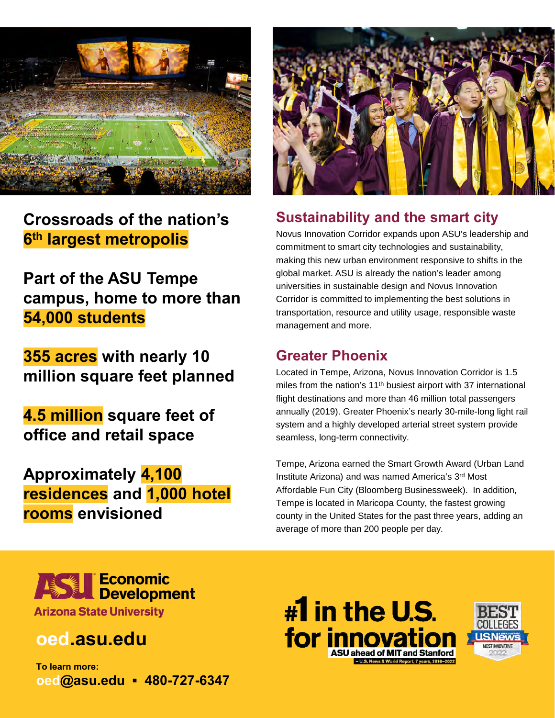

**Crossroads of the nation's 6th largest metropolis**

**Part of the ASU Tempe campus, home to more than 54,000 students**

**355 acres with nearly 10 million square feet planned** 

**4.5 million square feet of office and retail space**

**Approximately 4,100 residences and 1,000 hotel rooms envisioned**



### **Sustainability and the smart city**

Novus Innovation Corridor expands upon ASU's leadership and commitment to smart city technologies and sustainability, making this new urban environment responsive to shifts in the global market. ASU is already the nation's leader among universities in sustainable design and Novus Innovation Corridor is committed to implementing the best solutions in transportation, resource and utility usage, responsible waste management and more.

#### **Greater Phoenix**

Located in Tempe, Arizona, Novus Innovation Corridor is 1.5 miles from the nation's 11<sup>th</sup> busiest airport with 37 international flight destinations and more than 46 million total passengers annually (2019). Greater Phoenix's nearly 30-mile-long light rail system and a highly developed arterial street system provide seamless, long-term connectivity.

Tempe, Arizona earned the Smart Growth Award (Urban Land Institute Arizona) and was named America's 3rd Most Affordable Fun City (Bloomberg Businessweek). In addition, Tempe is located in Maricopa County, the fastest growing county in the United States for the past three years, adding an average of more than 200 people per day.



# **oed.asu.edu**

**To learn more: oed@asu.edu ▪ 480-727-6347**